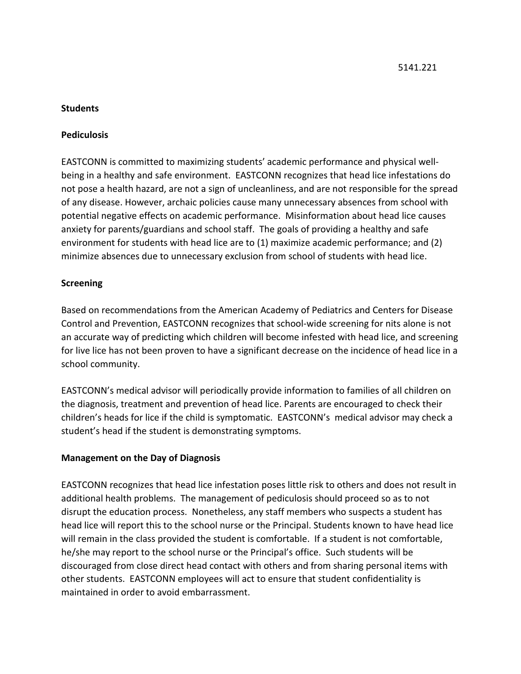### **Students**

### **Pediculosis**

EASTCONN is committed to maximizing students' academic performance and physical wellbeing in a healthy and safe environment. EASTCONN recognizes that head lice infestations do not pose a health hazard, are not a sign of uncleanliness, and are not responsible for the spread of any disease. However, archaic policies cause many unnecessary absences from school with potential negative effects on academic performance. Misinformation about head lice causes anxiety for parents/guardians and school staff. The goals of providing a healthy and safe environment for students with head lice are to (1) maximize academic performance; and (2) minimize absences due to unnecessary exclusion from school of students with head lice.

### **Screening**

Based on recommendations from the American Academy of Pediatrics and Centers for Disease Control and Prevention, EASTCONN recognizes that school-wide screening for nits alone is not an accurate way of predicting which children will become infested with head lice, and screening for live lice has not been proven to have a significant decrease on the incidence of head lice in a school community.

EASTCONN's medical advisor will periodically provide information to families of all children on the diagnosis, treatment and prevention of head lice. Parents are encouraged to check their children's heads for lice if the child is symptomatic. EASTCONN's medical advisor may check a student's head if the student is demonstrating symptoms.

### **Management on the Day of Diagnosis**

EASTCONN recognizes that head lice infestation poses little risk to others and does not result in additional health problems. The management of pediculosis should proceed so as to not disrupt the education process. Nonetheless, any staff members who suspects a student has head lice will report this to the school nurse or the Principal. Students known to have head lice will remain in the class provided the student is comfortable. If a student is not comfortable, he/she may report to the school nurse or the Principal's office. Such students will be discouraged from close direct head contact with others and from sharing personal items with other students. EASTCONN employees will act to ensure that student confidentiality is maintained in order to avoid embarrassment.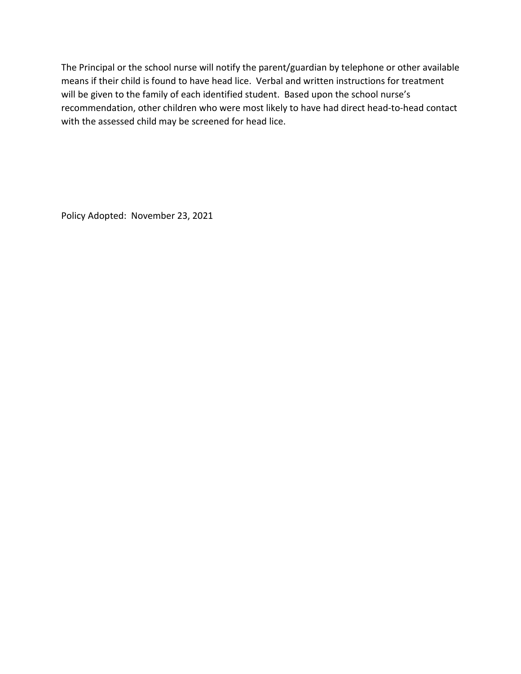The Principal or the school nurse will notify the parent/guardian by telephone or other available means if their child is found to have head lice. Verbal and written instructions for treatment will be given to the family of each identified student. Based upon the school nurse's recommendation, other children who were most likely to have had direct head-to-head contact with the assessed child may be screened for head lice.

Policy Adopted: November 23, 2021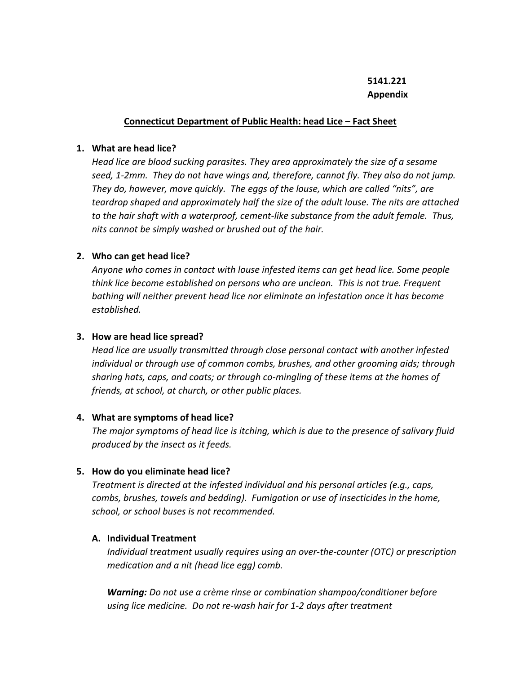## **5141.221 Appendix**

#### **Connecticut Department of Public Health: head Lice – Fact Sheet**

#### **1. What are head lice?**

*Head lice are blood sucking parasites. They area approximately the size of a sesame seed, 1-2mm. They do not have wings and, therefore, cannot fly. They also do not jump. They do, however, move quickly. The eggs of the louse, which are called "nits", are teardrop shaped and approximately half the size of the adult louse. The nits are attached to the hair shaft with a waterproof, cement-like substance from the adult female. Thus, nits cannot be simply washed or brushed out of the hair.*

### **2. Who can get head lice?**

*Anyone who comes in contact with louse infested items can get head lice. Some people think lice become established on persons who are unclean. This is not true. Frequent bathing will neither prevent head lice nor eliminate an infestation once it has become established.*

### **3. How are head lice spread?**

*Head lice are usually transmitted through close personal contact with another infested individual or through use of common combs, brushes, and other grooming aids; through sharing hats, caps, and coats; or through co-mingling of these items at the homes of friends, at school, at church, or other public places.*

### **4. What are symptoms of head lice?**

*The major symptoms of head lice is itching, which is due to the presence of salivary fluid produced by the insect as it feeds.*

### **5. How do you eliminate head lice?**

*Treatment is directed at the infested individual and his personal articles (e.g., caps, combs, brushes, towels and bedding). Fumigation or use of insecticides in the home, school, or school buses is not recommended.*

### **A. Individual Treatment**

*Individual treatment usually requires using an over-the-counter (OTC) or prescription medication and a nit (head lice egg) comb.*

*Warning: Do not use a crème rinse or combination shampoo/conditioner before using lice medicine. Do not re-wash hair for 1-2 days after treatment*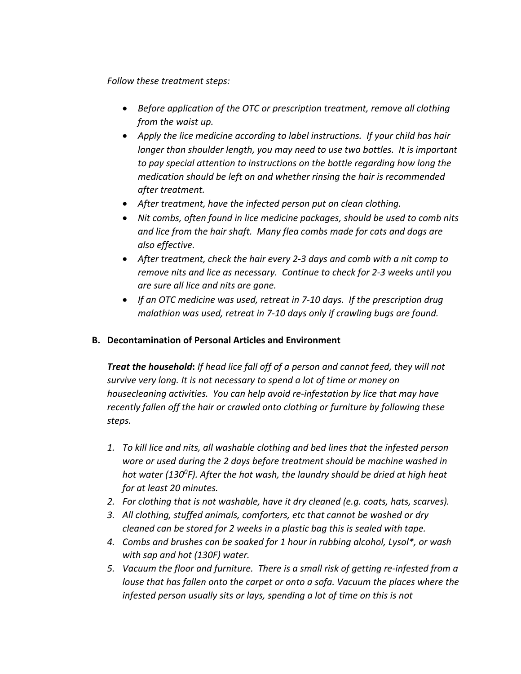*Follow these treatment steps:*

- *Before application of the OTC or prescription treatment, remove all clothing from the waist up.*
- *Apply the lice medicine according to label instructions. If your child has hair longer than shoulder length, you may need to use two bottles. It is important to pay special attention to instructions on the bottle regarding how long the medication should be left on and whether rinsing the hair is recommended after treatment.*
- *After treatment, have the infected person put on clean clothing.*
- *Nit combs, often found in lice medicine packages, should be used to comb nits and lice from the hair shaft. Many flea combs made for cats and dogs are also effective.*
- *After treatment, check the hair every 2-3 days and comb with a nit comp to remove nits and lice as necessary. Continue to check for 2-3 weeks until you are sure all lice and nits are gone.*
- *If an OTC medicine was used, retreat in 7-10 days. If the prescription drug malathion was used, retreat in 7-10 days only if crawling bugs are found.*

## **B. Decontamination of Personal Articles and Environment**

*Treat the household***:** *If head lice fall off of a person and cannot feed, they will not survive very long. It is not necessary to spend a lot of time or money on housecleaning activities. You can help avoid re-infestation by lice that may have recently fallen off the hair or crawled onto clothing or furniture by following these steps.*

- *1. To kill lice and nits, all washable clothing and bed lines that the infested person wore or used during the 2 days before treatment should be machine washed in hot water (1300F). After the hot wash, the laundry should be dried at high heat for at least 20 minutes.*
- *2. For clothing that is not washable, have it dry cleaned (e.g. coats, hats, scarves).*
- *3. All clothing, stuffed animals, comforters, etc that cannot be washed or dry cleaned can be stored for 2 weeks in a plastic bag this is sealed with tape.*
- *4. Combs and brushes can be soaked for 1 hour in rubbing alcohol, Lysol\*, or wash with sap and hot (130F) water.*
- *5. Vacuum the floor and furniture. There is a small risk of getting re-infested from a louse that has fallen onto the carpet or onto a sofa. Vacuum the places where the infested person usually sits or lays, spending a lot of time on this is not*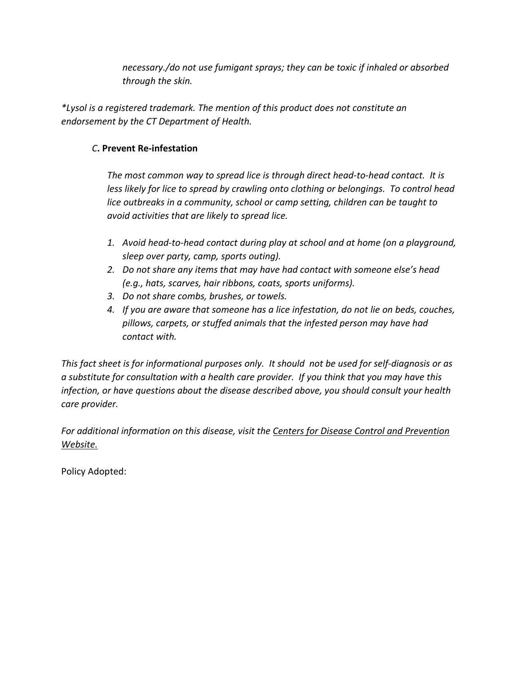*necessary./do not use fumigant sprays; they can be toxic if inhaled or absorbed through the skin.*

*\*Lysol is a registered trademark. The mention of this product does not constitute an endorsement by the CT Department of Health.*

## *C***. Prevent Re-infestation**

*The most common way to spread lice is through direct head-to-head contact. It is less likely for lice to spread by crawling onto clothing or belongings. To control head lice outbreaks in a community, school or camp setting, children can be taught to avoid activities that are likely to spread lice.*

- *1. Avoid head-to-head contact during play at school and at home (on a playground, sleep over party, camp, sports outing).*
- *2. Do not share any items that may have had contact with someone else's head (e.g., hats, scarves, hair ribbons, coats, sports uniforms).*
- *3. Do not share combs, brushes, or towels.*
- *4. If you are aware that someone has a lice infestation, do not lie on beds, couches, pillows, carpets, or stuffed animals that the infested person may have had contact with.*

*This fact sheet is for informational purposes only. It should not be used for self-diagnosis or as a substitute for consultation with a health care provider. If you think that you may have this infection, or have questions about the disease described above, you should consult your health care provider.*

*For additional information on this disease, visit the Centers for Disease Control and Prevention Website.*

Policy Adopted: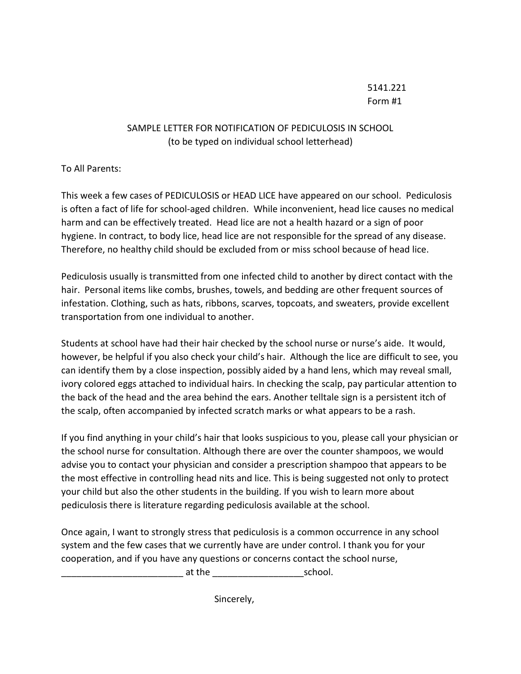# 5141.221 Form #1

## SAMPLE LETTER FOR NOTIFICATION OF PEDICULOSIS IN SCHOOL (to be typed on individual school letterhead)

To All Parents:

This week a few cases of PEDICULOSIS or HEAD LICE have appeared on our school. Pediculosis is often a fact of life for school-aged children. While inconvenient, head lice causes no medical harm and can be effectively treated. Head lice are not a health hazard or a sign of poor hygiene. In contract, to body lice, head lice are not responsible for the spread of any disease. Therefore, no healthy child should be excluded from or miss school because of head lice.

Pediculosis usually is transmitted from one infected child to another by direct contact with the hair. Personal items like combs, brushes, towels, and bedding are other frequent sources of infestation. Clothing, such as hats, ribbons, scarves, topcoats, and sweaters, provide excellent transportation from one individual to another.

Students at school have had their hair checked by the school nurse or nurse's aide. It would, however, be helpful if you also check your child's hair. Although the lice are difficult to see, you can identify them by a close inspection, possibly aided by a hand lens, which may reveal small, ivory colored eggs attached to individual hairs. In checking the scalp, pay particular attention to the back of the head and the area behind the ears. Another telltale sign is a persistent itch of the scalp, often accompanied by infected scratch marks or what appears to be a rash.

If you find anything in your child's hair that looks suspicious to you, please call your physician or the school nurse for consultation. Although there are over the counter shampoos, we would advise you to contact your physician and consider a prescription shampoo that appears to be the most effective in controlling head nits and lice. This is being suggested not only to protect your child but also the other students in the building. If you wish to learn more about pediculosis there is literature regarding pediculosis available at the school.

Once again, I want to strongly stress that pediculosis is a common occurrence in any school system and the few cases that we currently have are under control. I thank you for your cooperation, and if you have any questions or concerns contact the school nurse,

at the the school.

Sincerely,